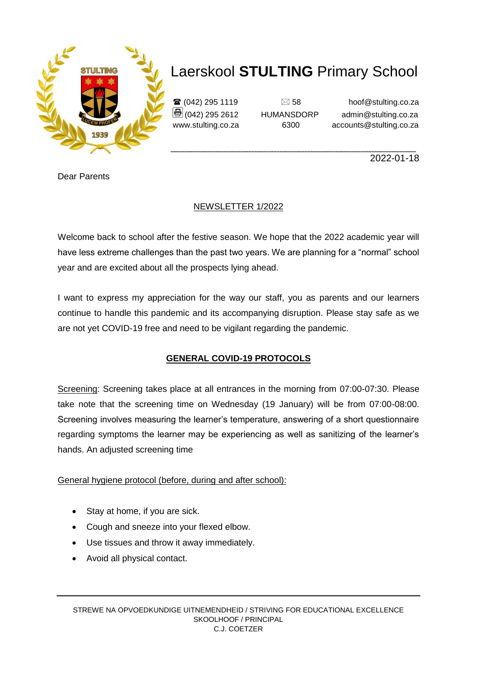

 $\mathbf{\widehat{a}}$  (042) 295 1119  $\Box$  58 hoof@stulting.co.za  $\bigcirc$  (042) 295 2612 HUMANSDORP admin@stulting.co.za www.stulting.co.za 6300 accounts@stulting.co.za

**\_\_\_\_\_\_\_\_\_\_\_\_\_\_\_\_\_\_\_\_\_\_\_\_\_\_\_\_\_\_\_\_\_\_\_\_\_\_\_\_\_\_\_\_\_\_\_\_\_\_\_\_\_\_\_\_\_\_\_\_\_\_\_\_\_\_\_\_\_\_\_\_\_\_\_\_\_\_\_\_\_\_\_\_\_\_\_\_** 2022-01-18

Dear Parents

### NEWSLETTER 1/2022

Welcome back to school after the festive season. We hope that the 2022 academic year will have less extreme challenges than the past two years. We are planning for a "normal" school year and are excited about all the prospects lying ahead.

I want to express my appreciation for the way our staff, you as parents and our learners continue to handle this pandemic and its accompanying disruption. Please stay safe as we are not yet COVID-19 free and need to be vigilant regarding the pandemic.

### **GENERAL COVID-19 PROTOCOLS**

Screening: Screening takes place at all entrances in the morning from 07:00-07:30. Please take note that the screening time on Wednesday (19 January) will be from 07:00-08:00. Screening involves measuring the learner's temperature, answering of a short questionnaire regarding symptoms the learner may be experiencing as well as sanitizing of the learner's hands. An adjusted screening time

#### General hygiene protocol (before, during and after school):

- Stay at home, if you are sick.
- Cough and sneeze into your flexed elbow.
- Use tissues and throw it away immediately.
- Avoid all physical contact.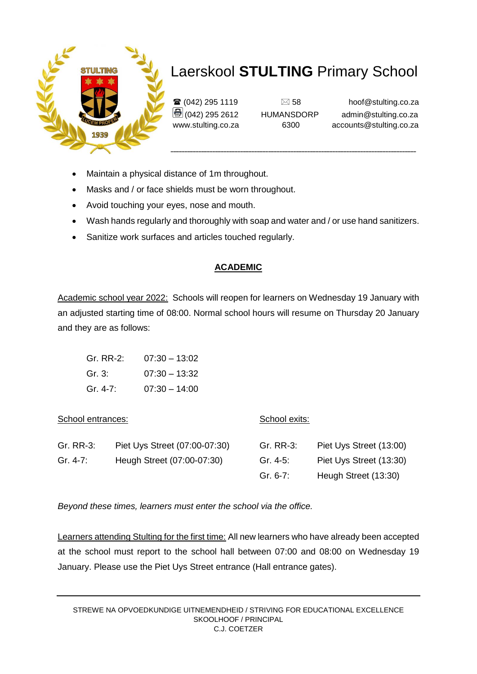

 $\mathbf{\widehat{a}}$  (042) 295 1119  $\Box$  58 hoof@stulting.co.za  $\bigcirc$  (042) 295 2612 HUMANSDORP admin@stulting.co.za www.stulting.co.za 6300 accounts@stulting.co.za

- Maintain a physical distance of 1m throughout.
- Masks and / or face shields must be worn throughout.
- Avoid touching your eyes, nose and mouth.
- Wash hands regularly and thoroughly with soap and water and / or use hand sanitizers.
- Sanitize work surfaces and articles touched regularly.

#### **ACADEMIC**

Academic school year 2022: Schools will reopen for learners on Wednesday 19 January with an adjusted starting time of 08:00. Normal school hours will resume on Thursday 20 January and they are as follows:

| Gr. RR-2: | $07:30 - 13:02$ |
|-----------|-----------------|
| Gr. 3:    | $07:30 - 13:32$ |
| Gr. 4-7:  | $07:30 - 14:00$ |

| School entrances: |                               | School exits: |                         |
|-------------------|-------------------------------|---------------|-------------------------|
| Gr. RR-3:         | Piet Uys Street (07:00-07:30) | Gr. RR-3:     | Piet Uys Street (13:00) |
| Gr. 4-7:          | Heugh Street (07:00-07:30)    | Gr. 4-5:      | Piet Uys Street (13:30) |
|                   |                               | Gr. 6-7:      | Heugh Street (13:30)    |

*Beyond these times, learners must enter the school via the office.* 

Learners attending Stulting for the first time: All new learners who have already been accepted at the school must report to the school hall between 07:00 and 08:00 on Wednesday 19 January. Please use the Piet Uys Street entrance (Hall entrance gates).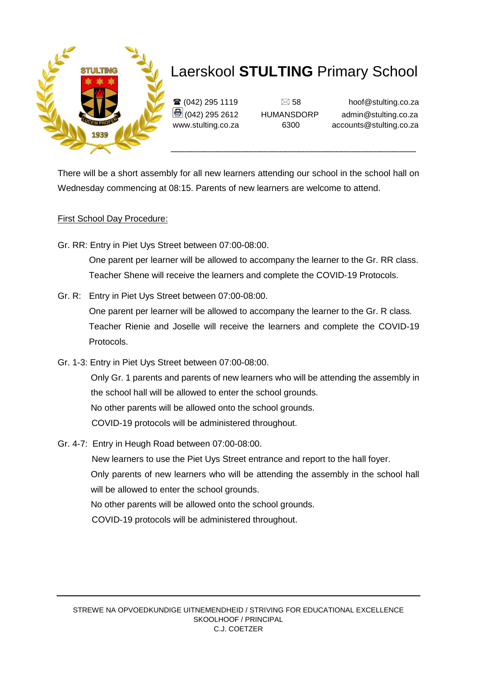

 $\mathbf{\widehat{a}}$  (042) 295 1119  $\Box$  58 hoof@stulting.co.za  $\bigcirc$  (042) 295 2612 HUMANSDORP admin@stulting.co.za www.stulting.co.za 6300 accounts@stulting.co.za

There will be a short assembly for all new learners attending our school in the school hall on Wednesday commencing at 08:15. Parents of new learners are welcome to attend.

#### First School Day Procedure:

Gr. RR: Entry in Piet Uys Street between 07:00-08:00.

 One parent per learner will be allowed to accompany the learner to the Gr. RR class. Teacher Shene will receive the learners and complete the COVID-19 Protocols.

Gr. R: Entry in Piet Uys Street between 07:00-08:00.

 One parent per learner will be allowed to accompany the learner to the Gr. R class. Teacher Rienie and Joselle will receive the learners and complete the COVID-19 Protocols.

Gr. 1-3: Entry in Piet Uys Street between 07:00-08:00.

Only Gr. 1 parents and parents of new learners who will be attending the assembly in the school hall will be allowed to enter the school grounds. No other parents will be allowed onto the school grounds. COVID-19 protocols will be administered throughout.

- Gr. 4-7: Entry in Heugh Road between 07:00-08:00.
	- New learners to use the Piet Uys Street entrance and report to the hall foyer.
	- Only parents of new learners who will be attending the assembly in the school hall will be allowed to enter the school grounds.

No other parents will be allowed onto the school grounds.

COVID-19 protocols will be administered throughout.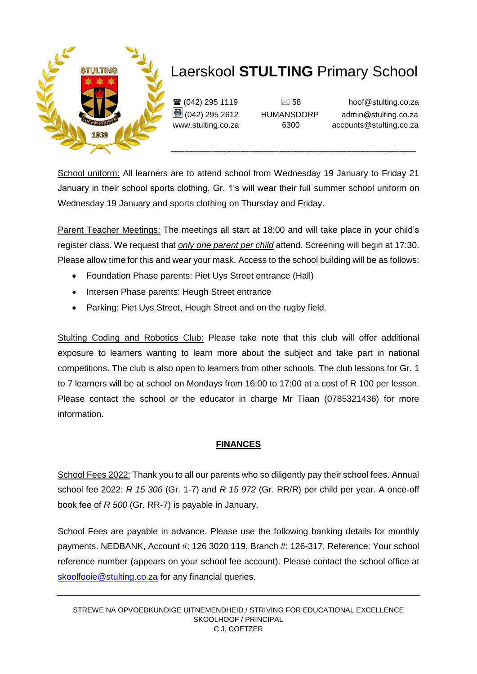

 $\mathbf{\widehat{a}}$  (042) 295 1119  $\Box$  58 hoof@stulting.co.za (042) 295 2612 HUMANSDORP admin@stulting.co.za www.stulting.co.za 6300 accounts@stulting.co.za

School uniform: All learners are to attend school from Wednesday 19 January to Friday 21 January in their school sports clothing. Gr. 1's will wear their full summer school uniform on Wednesday 19 January and sports clothing on Thursday and Friday.

Parent Teacher Meetings: The meetings all start at 18:00 and will take place in your child's register class. We request that *only one parent per child* attend. Screening will begin at 17:30. Please allow time for this and wear your mask. Access to the school building will be as follows:

- Foundation Phase parents: Piet Uys Street entrance (Hall)
- Intersen Phase parents: Heugh Street entrance
- Parking: Piet Uys Street, Heugh Street and on the rugby field.

Stulting Coding and Robotics Club: Please take note that this club will offer additional exposure to learners wanting to learn more about the subject and take part in national competitions. The club is also open to learners from other schools. The club lessons for Gr. 1 to 7 learners will be at school on Mondays from 16:00 to 17:00 at a cost of R 100 per lesson. Please contact the school or the educator in charge Mr Tiaan (0785321436) for more information.

#### **FINANCES**

School Fees 2022: Thank you to all our parents who so diligently pay their school fees. Annual school fee 2022: *R 15 306* (Gr. 1-7) and *R 15 972* (Gr. RR/R) per child per year. A once-off book fee of *R 500* (Gr. RR-7) is payable in January.

School Fees are payable in advance. Please use the following banking details for monthly payments. NEDBANK, Account #: 126 3020 119, Branch #: 126-317, Reference: Your school reference number (appears on your school fee account). Please contact the school office at [skoolfooie@stulting.co.za](mailto:skoolfooie@stulting.co.za) for any financial queries.